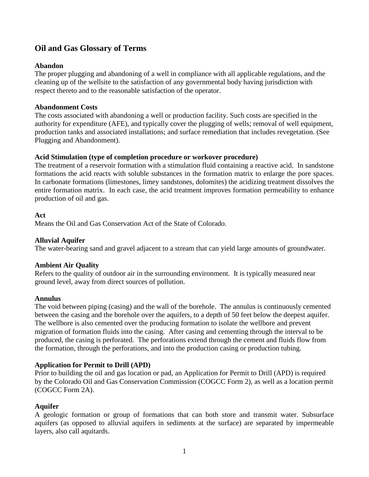# **Oil and Gas Glossary of Terms**

# **Abandon**

The proper plugging and abandoning of a well in compliance with all applicable regulations, and the cleaning up of the wellsite to the satisfaction of any governmental body having jurisdiction with respect thereto and to the reasonable satisfaction of the operator.

### **Abandonment Costs**

The costs associated with abandoning a well or production facility. Such costs are specified in the authority for expenditure [\(AFE\)](http://www.glossary.oilfield.slb.com/en/Terms/a/afe.aspx), and typically cover the plugging of wells; removal of well equipment, production tanks and associated installations; and surface remediation that includes revegetation. (See Plugging and Abandonment).

## **Acid Stimulation (type of completion procedure or workover procedure)**

The treatment of a reservoir formation with a stimulation fluid containing a reactive acid. In sandstone formations the acid reacts with soluble substances in the formation matrix to enlarge the pore spaces. In carbonate formations (limestones, limey sandstones, dolomites) the acidizing treatment dissolves the entire formation matrix. In each case, the acid treatment improves formation permeability to enhance production of oil and gas.

### **Act**

Means the Oil and Gas Conservation Act of the State of Colorado.

# **Alluvial Aquifer**

The water-bearing sand and gravel adjacent to a stream that can yield large amounts of groundwater.

### **Ambient Air Quality**

Refers to the quality of outdoor air in the surrounding environment. It is typically measured near ground level, away from direct sources of pollution.

### **Annulus**

The void between piping (casing) and the wall of the borehole. The annulus is continuously cemented between the casing and the borehole over the aquifers, to a depth of 50 feet below the deepest aquifer. The wellbore is also cemented over the producing formation to isolate the wellbore and prevent migration of formation fluids into the casing. After casing and cementing through the interval to be produced, the casing is perforated. The perforations extend through the cement and fluids flow from the formation, through the perforations, and into the production casing or production tubing.

### **Application for Permit to Drill (APD)**

Prior to building the oil and gas location or pad, an Application for Permit to Drill (APD) is required by the Colorado Oil and Gas Conservation Commission (COGCC Form 2), as well as a location permit (COGCC Form 2A).

### **Aquifer**

A geologic formation or group of formations that can both store and transmit water. Subsurface aquifers (as opposed to alluvial aquifers in sediments at the surface) are separated by impermeable layers, also call aquitards.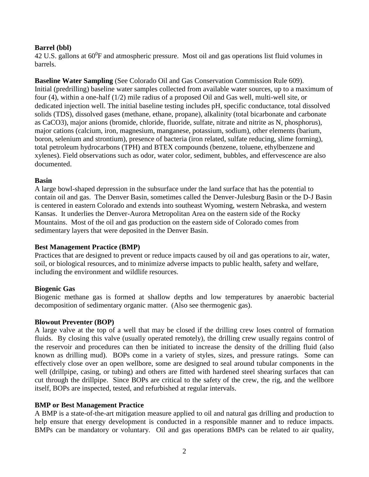## **Barrel (bbl)**

42 U.S. gallons at  $60^{\circ}$ F and atmospheric pressure. Most oil and gas operations list fluid volumes in barrels.

**Baseline Water Sampling** (See Colorado Oil and Gas Conservation Commission Rule 609). Initial (predrilling) baseline water samples collected from available water sources, up to a maximum of four (4), within a one-half (1/2) mile radius of a proposed Oil and Gas well, multi-well site, or dedicated injection well. The initial baseline testing includes pH, specific conductance, total dissolved solids (TDS), dissolved gases (methane, ethane, propane), alkalinity (total bicarbonate and carbonate as CaCO3), major anions (bromide, chloride, fluoride, sulfate, nitrate and nitrite as N, phosphorus), major cations (calcium, iron, magnesium, manganese, potassium, sodium), other elements (barium, boron, selenium and strontium), presence of bacteria (iron related, sulfate reducing, slime forming), total petroleum hydrocarbons (TPH) and BTEX compounds (benzene, toluene, ethylbenzene and xylenes). Field observations such as odor, water color, sediment, bubbles, and effervescence are also documented.

### **Basin**

A large bowl-shaped depression in the subsurface under the land surface that has the potential to contain oil and gas. The Denver Basin, sometimes called the Denver-Julesburg Basin or the D-J Basin is centered in eastern Colorado and extends into southeast Wyoming, western Nebraska, and western Kansas. It underlies the Denver-Aurora Metropolitan Area on the eastern side of the Rocky Mountains. Most of the oil and gas production on the eastern side of Colorado comes from sedimentary layers that were deposited in the Denver Basin.

### **Best Management Practice (BMP)**

Practices that are designed to prevent or reduce impacts caused by oil and gas operations to air, water, soil, or biological resources, and to minimize adverse impacts to public health, safety and welfare, including the environment and wildlife resources.

### **Biogenic Gas**

Biogenic methane gas is formed at shallow depths and low temperatures by anaerobic bacterial decomposition of sedimentary organic matter. (Also see thermogenic gas).

#### **Blowout Preventer (BOP)**

A large valve at the top of a well that may be closed if the drilling crew loses control of formation fluids. By closing this valve (usually operated remotely), the drilling crew usually regains control of the reservoir and procedures can then be initiated to increase the density of the drilling fluid (also known as drilling mud). BOPs come in a variety of styles, sizes, and pressure ratings. Some can effectively close over an open wellbore, some are designed to seal around tubular components in the well (drillpipe, casing, or tubing) and others are fitted with hardened steel shearing surfaces that can cut through the drillpipe. Since BOPs are critical to the safety of the crew, the rig, and the wellbore itself, BOPs are inspected, tested, and refurbished at regular intervals.

### **BMP or Best Management Practice**

A BMP is a state-of-the-art mitigation measure applied to oil and natural gas drilling and production to help ensure that energy development is conducted in a responsible manner and to reduce impacts. BMPs can be mandatory or voluntary. Oil and gas operations BMPs can be related to air quality,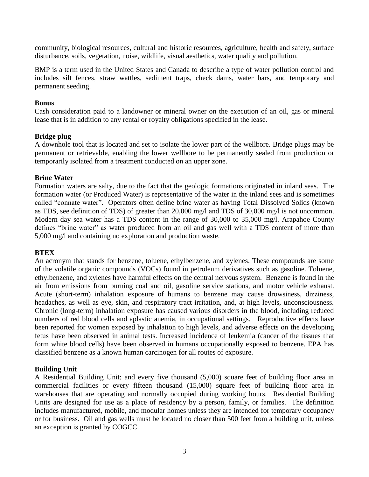community, biological resources, cultural and historic resources, agriculture, health and safety, surface disturbance, soils, vegetation, noise, wildlife, visual aesthetics, water quality and pollution.

BMP is a term used in the United States and Canada to describe a type of water pollution control and includes silt fences, straw wattles, sediment traps, check dams, water bars, and temporary and permanent seeding.

### **Bonus**

Cash consideration paid to a landowner or mineral owner on the execution of an oil, gas or mineral lease that is in addition to any rental or royalty obligations specified in the lease.

## **Bridge plug**

A downhole tool that is located and set to isolate the lower part of the wellbore. Bridge plugs may be permanent or retrievable, enabling the lower wellbore to be permanently sealed from production or temporarily isolated from a treatment conducted on an upper zone.

## **Brine Water**

Formation waters are salty, due to the fact that the geologic formations originated in inland seas. The formation water (or Produced Water) is representative of the water in the inland sees and is sometimes called "connate water". Operators often define brine water as having Total Dissolved Solids (known as TDS, see definition of TDS) of greater than 20,000 mg/l and TDS of 30,000 mg/l is not uncommon. Modern day sea water has a TDS content in the range of 30,000 to 35,000 mg/l. Arapahoe County defines "brine water" as water produced from an oil and gas well with a TDS content of more than 5,000 mg/l and containing no exploration and production waste.

# **BTEX**

An acronym that stands for benzene, toluene, ethylbenzene, and xylenes. These compounds are some of the volatile organic compounds (VOCs) found in petroleum derivatives such as gasoline. Toluene, ethylbenzene, and xylenes have harmful effects on the central nervous system. Benzene is found in the air from emissions from burning coal and oil, gasoline service stations, and motor vehicle exhaust. Acute (short-term) inhalation exposure of humans to benzene may cause drowsiness, dizziness, headaches, as well as eye, skin, and respiratory tract irritation, and, at high levels, unconsciousness. Chronic (long-term) inhalation exposure has caused various disorders in the blood, including reduced numbers of red blood cells and aplastic anemia, in occupational settings. Reproductive effects have been reported for women exposed by inhalation to high levels, and adverse effects on the developing fetus have been observed in animal tests. Increased incidence of leukemia (cancer of the tissues that form white blood cells) have been observed in humans occupationally exposed to benzene. EPA has classified benzene as a known human carcinogen for all routes of exposure.

### **Building Unit**

A Residential Building Unit; and every five thousand (5,000) square feet of building floor area in commercial facilities or every fifteen thousand (15,000) square feet of building floor area in warehouses that are operating and normally occupied during working hours. Residential Building Units are designed for use as a place of residency by a person, family, or families. The definition includes manufactured, mobile, and modular homes unless they are intended for temporary occupancy or for business. Oil and gas wells must be located no closer than 500 feet from a building unit, unless an exception is granted by COGCC.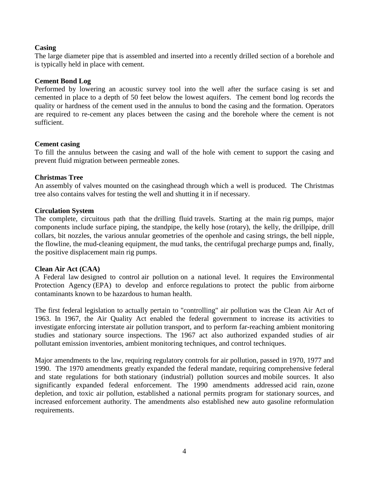### **Casing**

The large diameter pipe that is assembled and inserted into a recently drilled section of a borehole and is typically held in place with cement.

### **Cement Bond Log**

Performed by lowering an acoustic survey tool into the well after the surface casing is set and cemented in place to a depth of 50 feet below the lowest aquifers. The cement bond log records the quality or hardness of the cement used in the annulus to bond the casing and the formation. Operators are required to re-cement any places between the casing and the borehole where the cement is not sufficient.

### **Cement casing**

To fill the annulus between the casing and wall of the hole with cement to support the casing and prevent fluid migration between permeable zones.

## **Christmas Tree**

An assembly of valves mounted on the casinghead through which a well is produced. The Christmas tree also contains valves for testing the well and shutting it in if necessary.

## **Circulation System**

The complete, circuitous path that the [drilling](http://www.glossary.oilfield.slb.com/en/Terms/d/drilling_fluid.aspx) fluid travels. Starting at the main [rig](http://www.glossary.oilfield.slb.com/en/Terms/r/rig.aspx) pumps, major components include surface piping, the [standpipe,](http://www.glossary.oilfield.slb.com/en/Terms/s/standpipe.aspx) the [kelly hose](http://www.glossary.oilfield.slb.com/en/Terms/k/kelly_hose.aspx) (rotary), the kelly, the [drillpipe,](http://www.glossary.oilfield.slb.com/en/Terms/d/drillpipe.aspx) drill collars, bit nozzles, the various annular geometries of the [openhole](http://www.glossary.oilfield.slb.com/en/Terms/o/openhole.aspx) and casing strings, the [bell nipple,](http://www.glossary.oilfield.slb.com/en/Terms/b/bell_nipple.aspx) the [flowline,](http://www.glossary.oilfield.slb.com/en/Terms/f/flowline.aspx) the [mud-](http://www.glossary.oilfield.slb.com/en/Terms/m/mud.aspx)cleaning equipment, the mud tanks, the centrifugal precharge pumps and, finally, the positive displacement main rig pumps.

### **Clean Air Act (CAA)**

A Federal law designed to control [air pollution](https://en.wikipedia.org/wiki/Air_pollution) on a national level. It requires the [Environmental](https://en.wikipedia.org/wiki/United_States_Environmental_Protection_Agency)  [Protection Agency](https://en.wikipedia.org/wiki/United_States_Environmental_Protection_Agency) (EPA) to develop and enforce [regulations](https://en.wikipedia.org/wiki/Regulation) to protect the public from [airborne](https://en.wikipedia.org/wiki/Air_pollution#Pollutants)  [contaminants](https://en.wikipedia.org/wiki/Air_pollution#Pollutants) known to be hazardous to human health.

The first federal legislation to actually pertain to "controlling" air pollution was the Clean Air Act of 1963. In 1967, the Air Quality Act enabled the federal government to increase its activities to investigate enforcing interstate air pollution transport, and to perform far-reaching ambient monitoring studies and stationary source inspections. The 1967 act also authorized expanded studies of air pollutant emission inventories, ambient monitoring techniques, and control techniques.

Major amendments to the law, requiring regulatory controls for air pollution, passed in 1970, 1977 and 1990. The 1970 amendments greatly expanded the federal mandate, requiring comprehensive federal and state regulations for both [stationary \(industrial\) pollution sources](https://en.wikipedia.org/wiki/Major_stationary_source) and [mobile sources.](https://en.wikipedia.org/wiki/Mobile_source_air_pollution) It also significantly expanded federal [enforcement.](https://en.wikipedia.org/wiki/Environmental_law#Enforcement) The 1990 amendments addressed [acid rain,](https://en.wikipedia.org/wiki/Acid_rain) [ozone](https://en.wikipedia.org/wiki/Ozone_depletion)  [depletion,](https://en.wikipedia.org/wiki/Ozone_depletion) and toxic air pollution, established a national permits program for stationary sources, and increased enforcement authority. The amendments also established new auto gasoline reformulation requirements.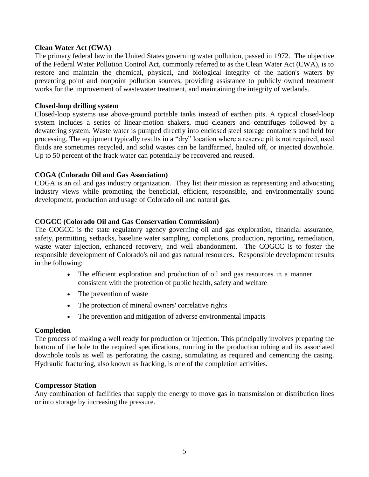#### **Clean Water Act (CWA)**

The primary [federal law](https://en.wikipedia.org/wiki/Federal_law) in the [United States](https://en.wikipedia.org/wiki/United_States) governing [water pollution,](https://en.wikipedia.org/wiki/Water_pollution) passed in 1972. The objective of the Federal Water Pollution Control Act, commonly referred to as the Clean Water Act (CWA), is to restore and maintain the chemical, physical, and biological integrity of the nation's waters by preventing point and nonpoint pollution sources, providing assistance to publicly owned treatment works for the improvement of wastewater treatment, and maintaining the integrity of wetlands.

#### **Closed-loop drilling system**

Closed-loop systems use above-ground portable tanks instead of earthen pits. A typical closed-loop system includes a series of linear-motion shakers, mud cleaners and centrifuges followed by a dewatering system. Waste water is pumped directly into enclosed steel storage containers and held for processing. The equipment typically results in a "dry" location where a reserve pit is not required, used fluids are sometimes recycled, and solid wastes can be landfarmed, hauled off, or injected downhole. Up to 50 percent of the frack water can potentially be recovered and reused.

### **COGA (Colorado Oil and Gas Association)**

COGA is an oil and gas industry organization. They list their mission as representing and advocating industry views while promoting the beneficial, efficient, responsible, and environmentally sound development, production and usage of Colorado oil and natural gas.

### **COGCC (Colorado Oil and Gas Conservation Commission)**

The COGCC is the state regulatory agency governing oil and gas exploration, financial assurance, safety, permitting, setbacks, baseline water sampling, completions, production, reporting, remediation, waste water injection, enhanced recovery, and well abandonment. The COGCC is to foster the responsible development of Colorado's oil and gas natural resources. Responsible development results in the following:

- The efficient exploration and production of oil and gas resources in a manner consistent with the protection of public health, safety and welfare
- The prevention of waste
- The protection of mineral owners' correlative rights
- The prevention and mitigation of adverse environmental impacts

#### **Completion**

The process of making a well ready for production or injection. This principally involves preparing the bottom of the hole to the required specifications, running in the production tubing and its associated downhole tools as well as perforating the casing, stimulating as required and cementing the casing. Hydraulic fracturing, also known as fracking, is one of the completion activities.

#### **Compressor Station**

Any combination of facilities that supply the energy to move gas in transmission or distribution lines or into storage by increasing the pressure.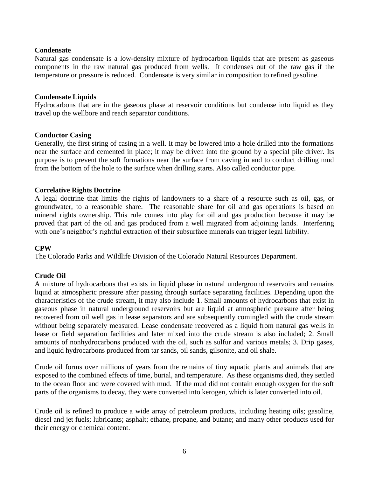### **Condensate**

Natural gas condensate is a low-density mixture of hydrocarbon liquids that are present as gaseous components in the raw natural gas produced from wells. It condenses out of the raw gas if the temperature or pressure is reduced. Condensate is very similar in composition to refined gasoline.

#### **Condensate Liquids**

Hydrocarbons that are in the gaseous phase at reservoir conditions but condense into liquid as they travel up the wellbore and reach separator conditions.

### **Conductor Casing**

Generally, the first string of casing in a well. It may be lowered into a hole drilled into the formations near the surface and cemented in place; it may be driven into the ground by a special pile driver. Its purpose is to prevent the soft formations near the surface from caving in and to conduct drilling mud from the bottom of the hole to the surface when drilling starts. Also called conductor pipe.

#### **Correlative Rights Doctrine**

A legal doctrine that limits the rights of landowners to a share of a resource such as oil, gas, or groundwater, to a reasonable share. The reasonable share for oil and gas operations is based on mineral rights ownership. This rule comes into play for oil and gas production because it may be proved that part of the oil and gas produced from a well migrated from adjoining lands. Interfering with one's neighbor's rightful extraction of their subsurface minerals can trigger legal liability.

### **CPW**

The Colorado Parks and Wildlife Division of the Colorado Natural Resources Department.

### **Crude Oil**

A mixture of hydrocarbons that exists in liquid phase in natural underground reservoirs and remains liquid at atmospheric pressure after passing through surface separating facilities. Depending upon the characteristics of the crude stream, it may also include 1. Small amounts of hydrocarbons that exist in gaseous phase in natural underground reservoirs but are liquid at atmospheric pressure after being recovered from oil well gas in lease separators and are subsequently comingled with the crude stream without being separately measured. Lease condensate recovered as a liquid from natural gas wells in lease or field separation facilities and later mixed into the crude stream is also included; 2. Small amounts of nonhydrocarbons produced with the oil, such as sulfur and various metals; 3. Drip gases, and liquid hydrocarbons produced from tar sands, oil sands, gilsonite, and oil shale.

Crude oil forms over millions of years from the remains of tiny aquatic plants and animals that are exposed to the combined effects of time, burial, and temperature. As these organisms died, they settled to the ocean floor and were covered with mud. If the mud did not contain enough oxygen for the soft parts of the organisms to decay, they were converted into kerogen, which is later converted into oil.

Crude oil is refined to produce a wide array of petroleum products, including heating oils; gasoline, diesel and jet fuels; lubricants; asphalt; ethane, propane, and butane; and many other products used for their energy or chemical content.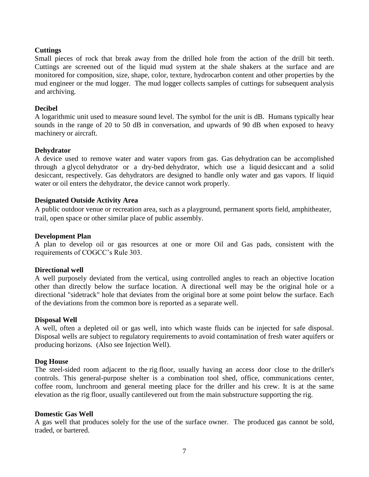### **Cuttings**

Small pieces of rock that break away from the drilled hole from the action of the drill bit teeth. Cuttings are screened out of the liquid mud system at the shale shakers at the surface and are monitored for composition, size, shape, color, texture, hydrocarbon content and other properties by the mud engineer or the mud logger. The mud logger collects samples of cuttings for subsequent analysis and archiving.

### **Decibel**

A logarithmic unit used to measure sound level. The symbol for the unit is dB. Humans typically hear sounds in the range of 20 to 50 dB in conversation, and upwards of 90 dB when exposed to heavy machinery or aircraft.

### **Dehydrator**

A device used to remove water and water vapors from gas. Gas [dehydration](http://www.glossary.oilfield.slb.com/en/Terms/d/dehydration.aspx) can be accomplished through a [glycol](http://www.glossary.oilfield.slb.com/en/Terms/g/glycol.aspx) dehydrator or a dry[-bed](http://www.glossary.oilfield.slb.com/en/Terms/b/bed.aspx) dehydrator, which use a liquid [desiccant](http://www.glossary.oilfield.slb.com/en/Terms/d/desiccant.aspx) and a solid desiccant, respectively. Gas dehydrators are designed to handle only water and gas vapors. If liquid water or oil enters the dehydrator, the device cannot work properly.

### **Designated Outside Activity Area**

A public outdoor venue or recreation area, such as a playground, permanent sports field, amphitheater, trail, open space or other similar place of public assembly.

### **Development Plan**

A plan to develop oil or gas resources at one or more Oil and Gas pads, consistent with the requirements of COGCC's Rule 303.

### **Directional well**

A well purposely deviated from the vertical, using controlled angles to reach an objective location other than directly below the surface location. A directional well may be the original hole or a directional "sidetrack" hole that deviates from the original bore at some point below the surface. Each of the deviations from the common bore is reported as a separate well.

#### **Disposal Well**

A well, often a depleted oil or gas well, into which waste fluids can be injected for safe disposal. Disposal wells are subject to regulatory requirements to avoid contamination of fresh water aquifers or producing horizons. (Also see Injection Well).

#### **Dog House**

The steel-sided room adjacent to the [rig](http://www.glossary.oilfield.slb.com/en/Terms/r/rig.aspx) floor, usually having an access door close to the [driller's](http://www.glossary.oilfield.slb.com/en/Terms/d/driller.aspx) controls. This general-purpose shelter is a combination tool shed, office, communications center, coffee room, lunchroom and general meeting place for the driller and his crew. It is at the same elevation as the [rig floor,](http://www.glossary.oilfield.slb.com/en/Terms/r/rig_floor.aspx) usually cantilevered out from the main substructure supporting the rig.

#### **Domestic Gas Well**

A gas well that produces solely for the use of the surface owner. The produced gas cannot be sold, traded, or bartered.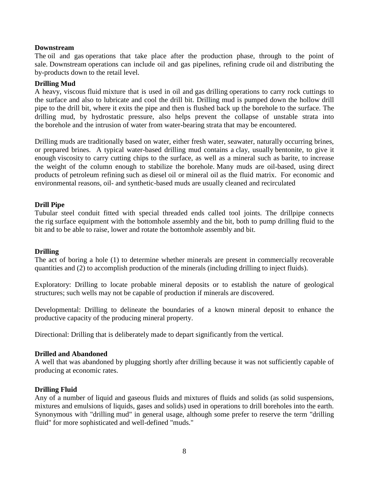### **Downstream**

The oil and gas operations that take place after the production phase, through to the point of sale. Downstream operations can include oil and gas pipelines, refining crude oil and distributing the by-products down to the retail level.

### **Drilling Mud**

A heavy, viscous [fluid](http://www.britannica.com/science/fluid-physics) mixture that is used in oil and [gas](http://www.britannica.com/science/gas-state-of-matter) [drilling](http://www.britannica.com/technology/drilling) operations to carry rock cuttings to the surface and also to lubricate and cool the drill bit. Drilling mud is pumped down the hollow drill pipe to the drill bit, where it exits the pipe and then is flushed back up the borehole to the surface. The drilling mud, by hydrostatic pressure, also helps prevent the collapse of unstable strata into the [borehole](http://www.britannica.com/science/borehole) and the intrusion of water from water-bearing strata that may be encountered.

Drilling muds are traditionally based on water, either fresh water, seawater, naturally occurring brines, or prepared brines. A typical water-based drilling mud contains a [clay,](http://www.britannica.com/science/clay-geology) usually [bentonite,](http://www.britannica.com/science/bentonite) to give it enough [viscosity](http://www.britannica.com/science/viscosity) to carry cutting chips to the surface, as well as a mineral such as [barite,](http://www.britannica.com/science/barite) to increase the weight of the column enough to stabilize the borehole. Many muds are oil-based, using direct products of [petroleum refining](http://www.britannica.com/technology/petroleum-refining) such as [diesel](http://www.britannica.com/technology/diesel-fuel) oil or [mineral oil](http://www.britannica.com/technology/mineral-oil) as the fluid matrix. For economic and environmental reasons, oil- and synthetic-based muds are usually cleaned and recirculated

### **Drill Pipe**

Tubular steel conduit fitted with special threaded ends called tool joints. The drillpipe connects the [rig](http://www.glossary.oilfield.slb.com/en/Terms/r/rig.aspx) surface equipment with the bottomhole assembly and the [bit,](http://www.glossary.oilfield.slb.com/en/Terms/b/bit.aspx) both to pump drilling fluid to the bit and to be able to raise, lower and rotate the bottomhole assembly and bit.

### **Drilling**

The act of boring a hole (1) to determine whether minerals are present in commercially recoverable quantities and (2) to accomplish production of the minerals (including drilling to inject fluids).

Exploratory: Drilling to locate probable mineral deposits or to establish the nature of geological structures; such wells may not be capable of production if minerals are discovered.

Developmental: Drilling to delineate the boundaries of a known mineral deposit to enhance the productive capacity of the producing mineral property.

Directional: Drilling that is deliberately made to depart significantly from the vertical.

### **Drilled and Abandoned**

A well that was abandoned by plugging shortly after drilling because it was not sufficiently capable of producing at economic rates.

### **Drilling Fluid**

Any of a number of liquid and gaseous fluids and mixtures of fluids and solids (as solid suspensions, mixtures and emulsions of liquids, gases and solids) used in operations to drill boreholes into the earth. Synonymous with "drilling [mud"](http://www.glossary.oilfield.slb.com/en/Terms/m/mud.aspx) in general usage, although some prefer to reserve the term "drilling fluid" for more sophisticated and well-defined "muds."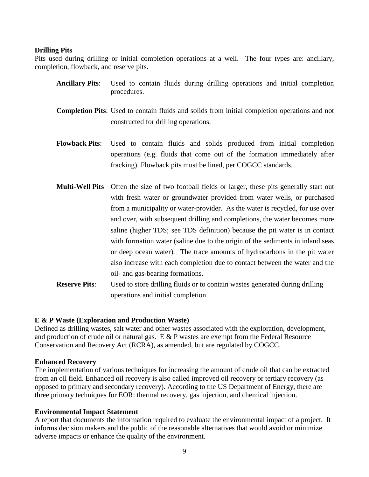#### **Drilling Pits**

Pits used during drilling or initial completion operations at a well. The four types are: ancillary, completion, flowback, and reserve pits.

- **Ancillary Pits**: Used to contain fluids during drilling operations and initial completion procedures.
- **Completion Pits**: Used to contain fluids and solids from initial completion operations and not constructed for drilling operations.
- **Flowback Pits**: Used to contain fluids and solids produced from initial completion operations (e.g. fluids that come out of the formation immediately after fracking). Flowback pits must be lined, per COGCC standards.
- **Multi-Well Pits** Often the size of two football fields or larger, these pits generally start out with fresh water or groundwater provided from water wells, or purchased from a municipality or water-provider. As the water is recycled, for use over and over, with subsequent drilling and completions, the water becomes more saline (higher TDS; see TDS definition) because the pit water is in contact with formation water (saline due to the origin of the sediments in inland seas or deep ocean water). The trace amounts of hydrocarbons in the pit water also increase with each completion due to contact between the water and the oil- and gas-bearing formations.
- **Reserve Pits:** Used to store drilling fluids or to contain wastes generated during drilling operations and initial completion.

### **E & P Waste (Exploration and Production Waste)**

Defined as drilling wastes, salt water and other wastes associated with the exploration, development, and production of crude oil or natural gas.  $E \& P$  wastes are exempt from the Federal Resource Conservation and Recovery Act (RCRA), as amended, but are regulated by COGCC.

#### **Enhanced Recovery**

The implementation of various techniques for increasing the amount of [crude oil](https://en.wikipedia.org/wiki/Crude_oil) that can be extracted from an [oil field.](https://en.wikipedia.org/wiki/Oil_field) Enhanced oil recovery is also called improved oil recovery or tertiary recovery (as opposed to primary and secondary recovery). According to the US Department of Energy, there are three primary techniques for EOR: thermal recovery, gas injection, and chemical injection.

### **Environmental Impact Statement**

A report that documents the information required to evaluate the environmental impact of a project. It informs decision makers and the public of the reasonable alternatives that would avoid or minimize adverse impacts or enhance the quality of the environment.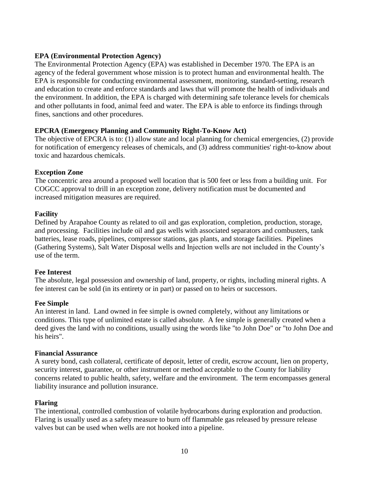# **EPA (Environmental Protection Agency)**

The Environmental Protection Agency (EPA) was established in December 1970. The EPA is an agency of the federal government whose mission is to protect human and environmental health. The EPA is responsible for conducting environmental assessment, monitoring, standard-setting, research and education to create and enforce standards and laws that will promote the health of individuals and the environment. In addition, the EPA is charged with determining safe tolerance levels for chemicals and other pollutants in food, animal feed and water. The EPA is able to enforce its findings through fines, sanctions and other procedures.

## **EPCRA (Emergency Planning and Community Right-To-Know Act)**

The objective of EPCRA is to: (1) allow state and local planning for chemical emergencies, (2) provide for notification of emergency releases of chemicals, and (3) address communities' right-to-know about toxic and hazardous chemicals.

### **Exception Zone**

The concentric area around a proposed well location that is 500 feet or less from a building unit. For COGCC approval to drill in an exception zone, delivery notification must be documented and increased mitigation measures are required.

## **Facility**

Defined by Arapahoe County as related to oil and gas exploration, completion, production, storage, and processing. Facilities include oil and gas wells with associated separators and combusters, tank batteries, lease roads, pipelines, compressor stations, gas plants, and storage facilities. Pipelines (Gathering Systems), Salt Water Disposal wells and Injection wells are not included in the County's use of the term.

### **Fee Interest**

The absolute, legal possession and ownership of land, property, or rights, including mineral rights. A fee interest can be sold (in its entirety or in part) or passed on to heirs or successors.

### **Fee Simple**

An interest in land. Land owned in fee simple is owned completely, without any limitations or conditions. This type of unlimited estate is called [absolute.](http://topics.law.cornell.edu/wex/absolute) A fee simple is generally created when a deed gives the land with no conditions, usually using the words like "to John Doe" or "to John Doe and his heirs".

### **Financial Assurance**

A surety bond, cash collateral, certificate of deposit, letter of credit, escrow account, lien on property, security interest, guarantee, or other instrument or method acceptable to the County for liability concerns related to public health, safety, welfare and the environment. The term encompasses general liability insurance and pollution insurance.

### **Flaring**

The intentional, controlled combustion of volatile hydrocarbons during exploration and production. Flaring is usually used as a safety measure to burn off flammable gas released by pressure release valves but can be used when wells are not hooked into a pipeline.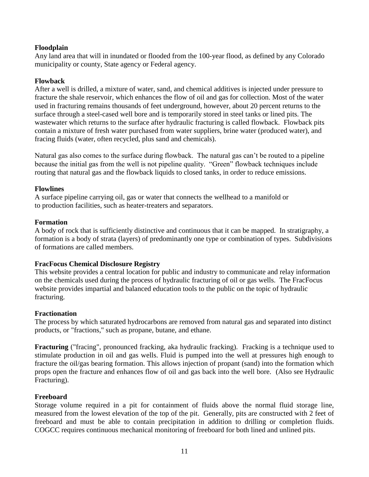## **Floodplain**

Any land area that will in inundated or flooded from the 100-year flood, as defined by any Colorado municipality or county, State agency or Federal agency.

### **Flowback**

After a well is drilled, a mixture of water, sand, and chemical additives is injected under pressure to fracture the shale reservoir, which enhances the flow of oil and gas for collection. Most of the water used in fracturing remains thousands of feet underground, however, about 20 percent returns to the surface through a steel-cased well bore and is temporarily stored in steel tanks or lined pits. The wastewater which returns to the surface after hydraulic fracturing is called flowback. Flowback pits contain a mixture of fresh water purchased from water suppliers, brine water (produced water), and fracing fluids (water, often recycled, plus sand and chemicals).

Natural gas also comes to the surface during flowback. The natural gas can't be routed to a pipeline because the initial gas from the well is not pipeline quality. "Green" flowback techniques include routing that natural gas and the flowback liquids to closed tanks, in order to reduce emissions.

## **Flowlines**

A surface [pipeline](http://www.glossary.oilfield.slb.com/en/Terms/p/pipeline.aspx) carrying oil, gas or water that connects the [wellhead](http://www.glossary.oilfield.slb.com/en/Terms/w/wellhead.aspx) to a [manifold](http://www.glossary.oilfield.slb.com/en/Terms/m/manifold.aspx) or to [production](http://www.glossary.oilfield.slb.com/en/Terms/p/production.aspx) facilities, such as heater-treaters and separators.

### **Formation**

A body of rock that is sufficiently distinctive and continuous that it can be mapped. In stratigraphy, a formation is a body of strata (layers) of predominantly one type or combination of types. Subdivisions of formations are called members.

# **FracFocus Chemical Disclosure Registry**

This website provides a central location for public and industry to communicate and relay information on the chemicals used during the process of hydraulic fracturing of oil or gas wells. The FracFocus website provides impartial and balanced education tools to the public on the topic of hydraulic fracturing.

### **Fractionation**

The process by which saturated hydrocarbons are removed from natural gas and separated into distinct products, or "fractions," such as propane, butane, and ethane.

**Fracturing** ("fracing", pronounced fracking, aka hydraulic fracking). Fracking is a technique used to stimulate production in oil and gas wells. Fluid is pumped into the well at pressures high enough to fracture the oil/gas bearing formation. This allows injection of propant (sand) into the formation which props open the fracture and enhances flow of oil and gas back into the well bore. (Also see Hydraulic Fracturing).

### **Freeboard**

Storage volume required in a pit for containment of fluids above the normal fluid storage line, measured from the lowest elevation of the top of the pit. Generally, pits are constructed with 2 feet of freeboard and must be able to contain precipitation in addition to drilling or completion fluids. COGCC requires continuous mechanical monitoring of freeboard for both lined and unlined pits.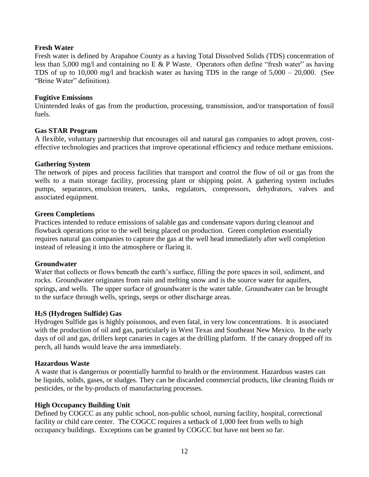### **Fresh Water**

Fresh water is defined by Arapahoe County as a having Total Dissolved Solids (TDS) concentration of less than 5,000 mg/l and containing no E  $&$  P Waste. Operators often define "fresh water" as having TDS of up to 10,000 mg/l and brackish water as having TDS in the range of 5,000 – 20,000. (See "Brine Water" definition).

### **Fugitive Emissions**

Unintended leaks of gas from the production, processing, transmission, and/or transportation of fossil fuels.

## **Gas STAR Program**

A flexible, voluntary partnership that encourages oil and natural gas companies to adopt proven, costeffective technologies and practices that improve operational efficiency and reduce methane emissions.

## **Gathering System**

The network of pipes and process facilities that transport and control the flow of oil or gas from the wells to a main storage facility, processing plant or shipping point. A gathering system includes pumps, separators, [emulsion](http://www.glossary.oilfield.slb.com/en/Terms/e/emulsion.aspx) treaters, tanks, regulators, compressors, dehydrators, valves and associated equipment.

### **Green Completions**

Practices intended to reduce emissions of salable gas and condensate vapors during cleanout and flowback operations prior to the well being placed on production. Green completion essentially requires natural gas companies to capture the gas at the well head immediately after well completion instead of releasing it into the atmosphere or flaring it.

### **Groundwater**

Water that collects or flows beneath the earth's surface, filling the pore spaces in soil, sediment, and rocks. Groundwater originates from rain and melting snow and is the source water for aquifers, springs, and wells. The upper surface of groundwater is the water table. Groundwater can be brought to the surface through wells, springs, seeps or other discharge areas.

# **H2S (Hydrogen Sulfide) Gas**

Hydrogen Sulfide gas is highly poisonous, and even fatal, in very low concentrations. It is associated with the production of oil and gas, particularly in West Texas and Southeast New Mexico. In the early days of oil and gas, drillers kept canaries in cages at the drilling platform. If the canary dropped off its perch, all hands would leave the area immediately.

### **Hazardous Waste**

A waste that is dangerous or potentially harmful to health or the environment. Hazardous wastes can be liquids, solids, gases, or sludges. They can be discarded commercial products, like cleaning fluids or pesticides, or the by-products of manufacturing processes.

# **High Occupancy Building Unit**

Defined by COGCC as any public school, non-public school, nursing facility, hospital, correctional facility or child care center. The COGCC requires a setback of 1,000 feet from wells to high occupancy buildings. Exceptions can be granted by COGCC but have not been so far.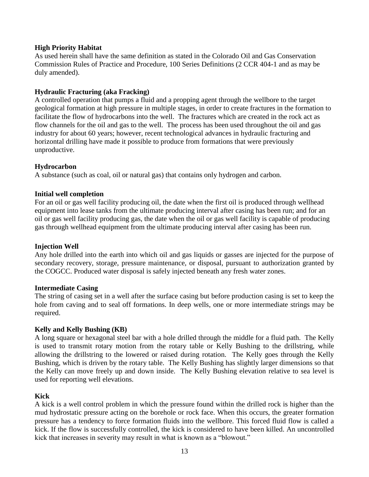## **High Priority Habitat**

As used herein shall have the same definition as stated in the Colorado Oil and Gas Conservation Commission Rules of Practice and Procedure, 100 Series Definitions (2 CCR 404-1 and as may be duly amended).

## **Hydraulic Fracturing (aka Fracking)**

A controlled operation that pumps a fluid and a propping agent through the wellbore to the target geological formation at high pressure in multiple stages, in order to create fractures in the formation to facilitate the flow of hydrocarbons into the well. The fractures which are created in the rock act as flow channels for the oil and gas to the well. The process has been used throughout the oil and gas industry for about 60 years; however, recent technological advances in hydraulic fracturing and horizontal drilling have made it possible to produce from formations that were previously unproductive.

## **Hydrocarbon**

A substance (such as coal, oil or natural gas) that contains only hydrogen and carbon.

## **Initial well completion**

For an oil or gas well facility producing oil, the date when the first oil is produced through wellhead equipment into lease tanks from the ultimate producing interval after casing has been run; and for an oil or gas well facility producing gas, the date when the oil or gas well facility is capable of producing gas through wellhead equipment from the ultimate producing interval after casing has been run.

### **Injection Well**

Any hole drilled into the earth into which oil and gas liquids or gasses are injected for the purpose of secondary recovery, storage, pressure maintenance, or disposal, pursuant to authorization granted by the COGCC. Produced water disposal is safely injected beneath any fresh water zones.

### **Intermediate Casing**

The string of casing set in a well after the surface casing but before production casing is set to keep the hole from caving and to seal off formations. In deep wells, one or more intermediate strings may be required.

### **Kelly and Kelly Bushing (KB)**

A long square or hexagonal steel bar with a hole drilled through the middle for a fluid path. The Kelly is used to transmit rotary motion from the rotary table or Kelly Bushing to the drillstring, while allowing the drillstring to the lowered or raised during rotation. The Kelly goes through the Kelly Bushing, which is driven by the rotary table. The Kelly Bushing has slightly larger dimensions so that the Kelly can move freely up and down inside. The Kelly Bushing elevation relative to sea level is used for reporting well elevations.

# **Kick**

A kick is a well control problem in which the pressure found within the drilled rock is higher than the mud hydrostatic pressure acting on the borehole or rock face. When this occurs, the greater formation pressure has a tendency to force formation fluids into the wellbore. This forced fluid flow is called a kick. If the flow is successfully controlled, the kick is considered to have been killed. An uncontrolled kick that increases in severity may result in what is known as a "blowout."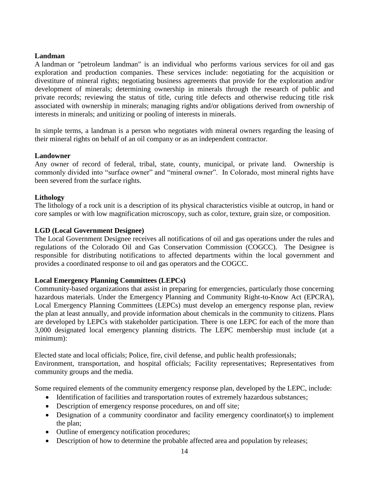### **Landman**

A landman or "petroleum landman" is an individual who performs various services for [oil](https://en.wikipedia.org/wiki/Petroleum) and gas exploration and production companies. These services include: negotiating for the acquisition or divestiture of mineral rights; negotiating business agreements that provide for the exploration and/or development of minerals; determining ownership in minerals through the research of public and private records; reviewing the status of title, curing title defects and otherwise reducing title risk associated with ownership in minerals; managing rights and/or obligations derived from ownership of interests in minerals; and unitizing or pooling of interests in minerals.

In simple terms, a landman is a person who negotiates with mineral owners regarding the leasing of their mineral rights on behalf of an oil company or as an independent contractor.

## **Landowner**

Any owner of record of federal, tribal, state, county, municipal, or private land. Ownership is commonly divided into "surface owner" and "mineral owner". In Colorado, most mineral rights have been severed from the surface rights.

## **Lithology**

The lithology of a rock unit is a description of its physical characteristics visible at outcrop, in hand or core samples or with low magnification microscopy, such as color, texture, grain size, or composition.

## **LGD (Local Government Designee)**

The Local Government Designee receives all notifications of oil and gas operations under the rules and regulations of the Colorado Oil and Gas Conservation Commission (COGCC). The Designee is responsible for distributing notifications to affected departments within the local government and provides a coordinated response to oil and gas operators and the COGCC.

### **Local Emergency Planning Committees (LEPCs)**

Community-based organizations that assist in preparing for emergencies, particularly those concerning hazardous materials. Under the Emergency Planning and Community Right-to-Know Act [\(EPCRA\)](http://www2.epa.gov/epcra), Local Emergency Planning Committees (LEPCs) must develop an emergency response plan, review the plan at least annually, and provide information about chemicals in the community to citizens. Plans are developed by LEPCs with stakeholder participation. There is one LEPC for each of the more than 3,000 designated local emergency planning districts. The LEPC membership must include (at a minimum):

Elected state and local officials; Police, fire, civil defense, and public health professionals; Environment, transportation, and hospital officials; Facility representatives; Representatives from community groups and the media.

Some required elements of the community emergency response plan, developed by the LEPC, include:

- Identification of facilities and transportation routes of extremely hazardous substances;
- Description of emergency response procedures, on and off site;
- Designation of a community coordinator and facility emergency coordinator(s) to implement the plan;
- Outline of emergency notification procedures;
- Description of how to determine the probable affected area and population by releases;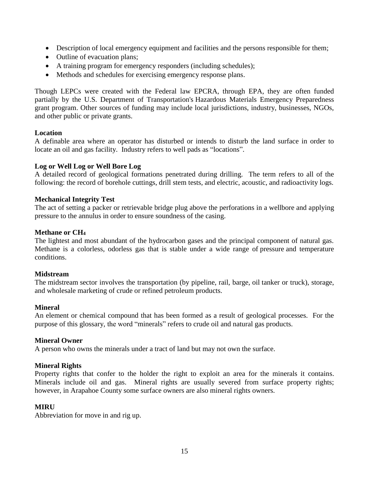- Description of local emergency equipment and facilities and the persons responsible for them;
- Outline of evacuation plans;
- A training program for emergency responders (including schedules);
- Methods and schedules for exercising emergency response plans.

Though LEPCs were created with the Federal law EPCRA, through EPA, they are often funded partially by the U.S. Department of Transportation's [Hazardous Materials Emergency Preparedness](http://www.phmsa.dot.gov/portal/site/PHMSA/menuitem.6f23687cf7b00b0f22e4c6962d9c8789/?vgnextoid=455455576fac8210VgnVCM1000009ed07898RCRD&vgnextchannel=b9623074e1db8110VgnVCM1000009ed07898RCRD&vgnextfmt=print)  [grant program.](http://www.phmsa.dot.gov/portal/site/PHMSA/menuitem.6f23687cf7b00b0f22e4c6962d9c8789/?vgnextoid=455455576fac8210VgnVCM1000009ed07898RCRD&vgnextchannel=b9623074e1db8110VgnVCM1000009ed07898RCRD&vgnextfmt=print) Other sources of funding may include local jurisdictions, industry, businesses, NGOs, and other public or private grants.

### **Location**

A definable area where an operator has disturbed or intends to disturb the land surface in order to locate an oil and gas facility. Industry refers to well pads as "locations".

## **Log or Well Log or Well Bore Log**

A detailed record of geological formations penetrated during drilling. The term refers to all of the following: the record of borehole cuttings, drill stem tests, and electric, acoustic, and radioactivity logs.

### **Mechanical Integrity Test**

The act of setting a packer or retrievable bridge plug above the perforations in a wellbore and applying pressure to the annulus in order to ensure soundness of the casing.

### **Methane or CH<sup>4</sup>**

The lightest and most abundant of the hydrocarbon gases and the principal component of natural gas. Methane is a colorless, odorless gas that is stable under a wide range of [pressure](http://www.glossary.oilfield.slb.com/en/Terms/p/pressure.aspx) and temperature conditions.

### **Midstream**

The midstream sector involves the transportation (by pipeline, rail, barge, oil tanker or truck), storage, and wholesale marketing of crude or refined petroleum products.

### **Mineral**

An element or chemical compound that has been formed as a result of geological processes. For the purpose of this glossary, the word "minerals" refers to crude oil and natural gas products.

### **Mineral Owner**

A person who owns the minerals under a tract of land but may not own the surface.

### **Mineral Rights**

Property rights that confer to the holder the right to exploit an area for the minerals it contains. Minerals include oil and gas. Mineral rights are usually severed from surface property rights; however, in Arapahoe County some surface owners are also mineral rights owners.

### **MIRU**

Abbreviation for move in and rig up.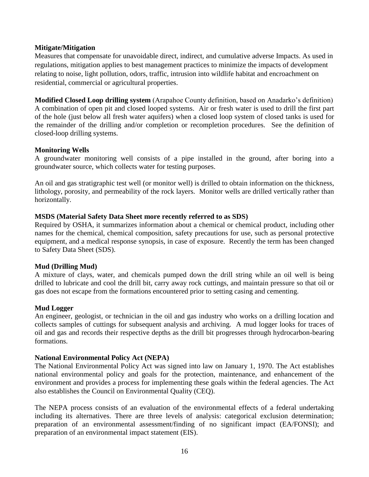## **Mitigate/Mitigation**

Measures that compensate for unavoidable direct, indirect, and cumulative adverse Impacts. As used in regulations, mitigation applies to best management practices to minimize the impacts of development relating to noise, light pollution, odors, traffic, intrusion into wildlife habitat and encroachment on residential, commercial or agricultural properties.

**Modified Closed Loop drilling system** (Arapahoe County definition, based on Anadarko's definition) A combination of open pit and closed looped systems. Air or fresh water is used to drill the first part of the hole (just below all fresh water aquifers) when a closed loop system of closed tanks is used for the remainder of the drilling and/or completion or recompletion procedures. See the definition of closed-loop drilling systems.

### **Monitoring Wells**

A groundwater monitoring well consists of a pipe installed in the ground, after boring into a groundwater source, which collects water for testing purposes.

An oil and gas stratigraphic test well (or monitor well) is drilled to obtain information on the thickness, lithology, porosity, and permeability of the rock layers. Monitor wells are drilled vertically rather than horizontally.

## **MSDS (Material Safety Data Sheet more recently referred to as SDS)**

Required by OSHA, it summarizes information about a chemical or chemical product, including other names for the chemical, chemical composition, safety precautions for use, such as personal protective equipment, and a medical response synopsis, in case of exposure. Recently the term has been changed to Safety Data Sheet (SDS).

### **Mud (Drilling Mud)**

A mixture of clays, water, and chemicals pumped down the drill string while an oil well is being drilled to lubricate and cool the drill bit, carry away rock cuttings, and maintain pressure so that oil or gas does not escape from the formations encountered prior to setting casing and cementing.

# **Mud Logger**

An engineer, geologist, or technician in the oil and gas industry who works on a drilling location and collects samples of cuttings for subsequent analysis and archiving. A mud logger looks for traces of oil and gas and records their respective depths as the drill bit progresses through hydrocarbon-bearing formations.

### **National Environmental Policy Act (NEPA)**

The National Environmental Policy Act was signed into law on January 1, 1970. The Act establishes national environmental policy and goals for the protection, maintenance, and enhancement of the environment and provides a process for implementing these goals within the federal agencies. The Act also establishes the Council on Environmental Quality (CEQ).

The NEPA process consists of an evaluation of the environmental effects of a federal undertaking including its alternatives. There are three levels of analysis: categorical exclusion determination; preparation of an environmental assessment/finding of no significant impact (EA/FONSI); and preparation of an environmental impact statement (EIS).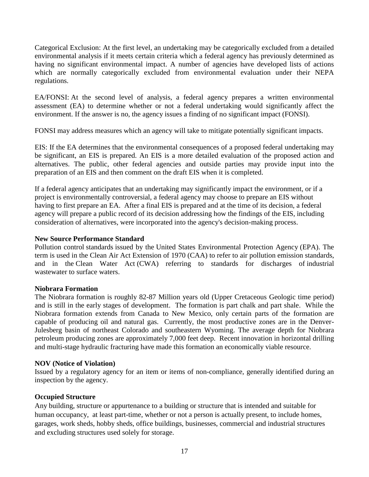Categorical Exclusion: At the first level, an undertaking may be categorically excluded from a detailed environmental analysis if it meets certain criteria which a federal agency has previously determined as having no significant environmental impact. A number of agencies have developed lists of actions which are normally categorically excluded from environmental evaluation under their NEPA regulations.

EA/FONSI: At the second level of analysis, a federal agency prepares a written environmental assessment (EA) to determine whether or not a federal undertaking would significantly affect the environment. If the answer is no, the agency issues a finding of no significant impact (FONSI).

FONSI may address measures which an agency will take to mitigate potentially significant impacts.

EIS: If the EA determines that the environmental consequences of a proposed federal undertaking may be significant, an EIS is prepared. An EIS is a more detailed evaluation of the proposed action and alternatives. The public, other federal agencies and outside parties may provide input into the preparation of an EIS and then comment on the draft EIS when it is completed.

If a federal agency anticipates that an undertaking may significantly impact the environment, or if a project is environmentally controversial, a federal agency may choose to prepare an EIS without having to first prepare an EA. After a final EIS is prepared and at the time of its decision, a federal agency will prepare a public record of its decision addressing how the findings of the EIS, including consideration of alternatives, were incorporated into the agency's decision-making process.

### **New Source Performance Standard**

Pollution control [standards](https://en.wikipedia.org/wiki/Technical_standard) issued by the [United States Environmental Protection Agency](https://en.wikipedia.org/wiki/United_States_Environmental_Protection_Agency) (EPA). The term is used in the [Clean Air Act Extension of 1970](https://en.wikipedia.org/wiki/Clean_Air_Act_(1970)) (CAA) to refer to [air pollution](https://en.wikipedia.org/wiki/Air_pollution) emission standards, and in the [Clean Water Act](https://en.wikipedia.org/wiki/Clean_Water_Act) (CWA) referring to standards for discharges of [industrial](https://en.wikipedia.org/wiki/Industrial_wastewater_treatment)  [wastewater](https://en.wikipedia.org/wiki/Industrial_wastewater_treatment) to [surface waters.](https://en.wikipedia.org/wiki/Surface_water)

### **Niobrara Formation**

The Niobrara formation is roughly 82-87 Million years old (Upper Cretaceous Geologic time period) and is still in the early stages of development. The formation is part chalk and part shale. While the Niobrara formation extends from Canada to New Mexico, only certain parts of the formation are capable of producing oil and natural gas. Currently, the most productive zones are in the Denver-Julesberg basin of northeast Colorado and southeastern Wyoming. The average depth for Niobrara petroleum producing zones are approximately 7,000 feet deep. Recent innovation in horizontal drilling and multi-stage hydraulic fracturing have made this formation an economically viable resource.

### **NOV (Notice of Violation)**

Issued by a regulatory agency for an item or items of non-compliance, generally identified during an inspection by the agency.

# **Occupied Structure**

Any building, structure or appurtenance to a building or structure that is intended and suitable for human occupancy, at least part-time, whether or not a person is actually present, to include homes, garages, work sheds, hobby sheds, office buildings, businesses, commercial and industrial structures and excluding structures used solely for storage.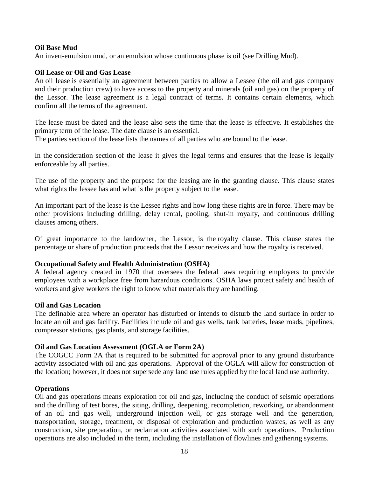### **Oil Base Mud**

An invert[-emulsion](http://www.glossary.oilfield.slb.com/en/Terms/e/emulsion.aspx) [mud,](http://www.glossary.oilfield.slb.com/en/Terms/m/mud.aspx) or an emulsion whose [continuous phase](http://www.glossary.oilfield.slb.com/en/Terms/c/continuous_phase.aspx) is oil (see Drilling Mud).

### **Oil Lease or Oil and Gas Lease**

An [oil lease](http://www.oil-gas-leases.com/oil-gas-lease-terms.html#lease) is essentially an agreement between parties to allow a Lessee (the oil and gas company and their production crew) to have access to the property and minerals (oil and gas) on the property of the Lessor. The lease agreement is a legal contract of terms. It contains certain elements, which confirm all the terms of the agreement.

The lease must be dated and the lease also sets the time that the lease is effective. It establishes the primary term of the lease. The date clause is an essential.

The parties section of the lease lists the names of all parties who are bound to the lease.

In the consideration section of the lease it gives the legal terms and ensures that the lease is legally enforceable by all parties.

The use of the property and the purpose for the leasing are in the granting clause. This clause states what rights the lessee has and what is the property subject to the lease.

An important part of the lease is the Lessee rights and how long these rights are in force. There may be other provisions including drilling, delay rental, pooling, shut-in royalty, and continuous drilling clauses among others.

Of great importance to the landowner, the Lessor, is the [royalty clause.](http://www.oil-gas-leases.com/oil-gas-lease-terms.html#royalty-clause) This clause states the percentage or share of production proceeds that the Lessor receives and how the royalty is received.

### **Occupational Safety and Health Administration (OSHA)**

A federal agency created in 1970 that oversees the federal laws requiring employers to provide employees with a workplace free from hazardous conditions. OSHA laws protect safety and health of workers and give workers the right to know what materials they are handling.

### **Oil and Gas Location**

The definable area where an operator has disturbed or intends to disturb the land surface in order to locate an oil and gas facility. Facilities include oil and gas wells, tank batteries, lease roads, pipelines, compressor stations, gas plants, and storage facilities.

# **Oil and Gas Location Assessment (OGLA or Form 2A)**

The COGCC Form 2A that is required to be submitted for approval prior to any ground disturbance activity associated with oil and gas operations. Approval of the OGLA will allow for construction of the location; however, it does not supersede any land use rules applied by the local land use authority.

### **Operations**

Oil and gas operations means exploration for oil and gas, including the conduct of seismic operations and the drilling of test bores, the siting, drilling, deepening, recompletion, reworking, or abandonment of an oil and gas well, underground injection well, or gas storage well and the generation, transportation, storage, treatment, or disposal of exploration and production wastes, as well as any construction, site preparation, or reclamation activities associated with such operations. Production operations are also included in the term, including the installation of flowlines and gathering systems.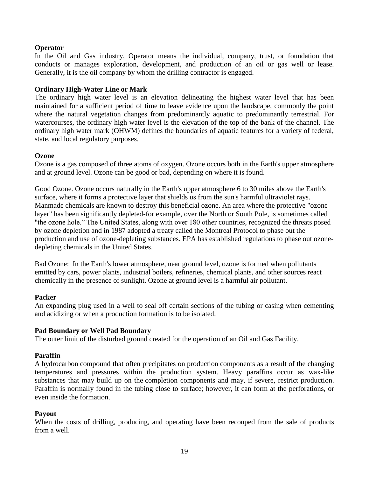### **Operator**

In the Oil and Gas industry, Operator means the individual, company, trust, or foundation that conducts or manages exploration, development, and production of an oil or gas well or lease. Generally, it is the oil company by whom the drilling contractor is engaged.

## **Ordinary High-Water Line or Mark**

The ordinary high water level is an elevation delineating the highest water level that has been maintained for a sufficient period of time to leave evidence upon the landscape, commonly the point where the natural vegetation changes from predominantly aquatic to predominantly terrestrial. For watercourses, the ordinary high water level is the elevation of the top of the bank of the channel. The ordinary high water mark (OHWM) defines the boundaries of aquatic features for a variety of federal, state, and local regulatory purposes.

### **Ozone**

Ozone is a gas composed of three atoms of oxygen. Ozone occurs both in the Earth's upper atmosphere and at ground level. Ozone can be good or bad, depending on where it is found.

Good Ozone. Ozone occurs naturally in the Earth's upper atmosphere 6 to 30 miles above the Earth's surface, where it forms a protective layer that shields us from the sun's harmful ultraviolet rays. Manmade chemicals are known to destroy this beneficial ozone. An area where the protective "ozone layer" has been significantly depleted-for example, over the North or South Pole, is sometimes called "the ozone hole." The United States, along with over 180 other countries, recognized the threats posed by ozone depletion and in 1987 adopted a treaty called the Montreal Protocol to phase out the production and use of ozone-depleting substances. EPA has established regulations to phase out ozonedepleting chemicals in the United States.

Bad Ozone: In the Earth's lower atmosphere, near ground level, ozone is formed when pollutants emitted by cars, power plants, industrial boilers, refineries, chemical plants, and other sources react chemically in the presence of sunlight. Ozone at ground level is a harmful air pollutant.

### **Packer**

An expanding plug used in a well to seal off certain sections of the tubing or casing when cementing and acidizing or when a production formation is to be isolated.

### **Pad Boundary or Well Pad Boundary**

The outer limit of the disturbed ground created for the operation of an Oil and Gas Facility.

### **Paraffin**

A [hydrocarbon](http://www.glossary.oilfield.slb.com/en/Terms/h/hydrocarbon.aspx) compound that often precipitates on [production](http://www.glossary.oilfield.slb.com/en/Terms/p/production.aspx) components as a result of the changing temperatures and pressures within the production system. Heavy paraffins occur as wax-like substances that may build up on the [completion](http://www.glossary.oilfield.slb.com/en/Terms/c/completion.aspx) components and may, if severe, restrict production. Paraffin is normally found in the tubing close to surface; however, it can form at the perforations, or even inside the [formation.](http://www.glossary.oilfield.slb.com/en/Terms/f/formation.aspx)

### **Payout**

When the costs of drilling, producing, and operating have been recouped from the sale of products from a well.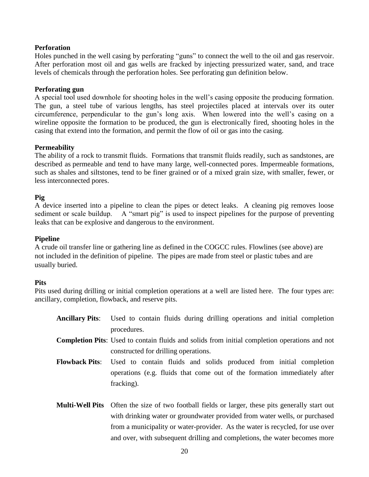## **Perforation**

Holes punched in the well casing by perforating "guns" to connect the well to the oil and gas reservoir. After perforation most oil and gas wells are fracked by injecting pressurized water, sand, and trace levels of chemicals through the perforation holes. See perforating gun definition below.

### **Perforating gun**

A special tool used downhole for shooting holes in the well's casing opposite the producing formation. The gun, a steel tube of various lengths, has steel projectiles placed at intervals over its outer circumference, perpendicular to the gun's long axis. When lowered into the well's casing on a wireline opposite the formation to be produced, the gun is electronically fired, shooting holes in the casing that extend into the formation, and permit the flow of oil or gas into the casing.

## **Permeability**

The ability of a [rock](http://www.glossary.oilfield.slb.com/en/Terms/r/rock.aspx) to transmit fluids. Formations that transmit fluids readily, such as sandstones, are described as [permeable](http://www.glossary.oilfield.slb.com/en/Terms/p/permeable.aspx) and tend to have many large, well-connected pores. Impermeable formations, such as shales and siltstones, tend to be finer grained or of a mixed grain size, with smaller, fewer, or less interconnected pores.

## **Pig**

A device inserted into a pipeline to clean the pipes or detect leaks. A cleaning pig removes loose sediment or scale buildup. A "smart pig" is used to inspect pipelines for the purpose of preventing leaks that can be explosive and dangerous to the environment.

### **Pipeline**

A crude oil transfer line or gathering line as defined in the COGCC rules. Flowlines (see above) are not included in the definition of pipeline. The pipes are made from steel or plastic tubes and are usually buried.

### **Pits**

Pits used during drilling or initial completion operations at a well are listed here. The four types are: ancillary, completion, flowback, and reserve pits.

- **Ancillary Pits**: Used to contain fluids during drilling operations and initial completion procedures. **Completion Pits**: Used to contain fluids and solids from initial completion operations and not constructed for drilling operations. **Flowback Pits**: Used to contain fluids and solids produced from initial completion
- operations (e.g. fluids that come out of the formation immediately after fracking).
- **Multi-Well Pits** Often the size of two football fields or larger, these pits generally start out with drinking water or groundwater provided from water wells, or purchased from a municipality or water-provider. As the water is recycled, for use over and over, with subsequent drilling and completions, the water becomes more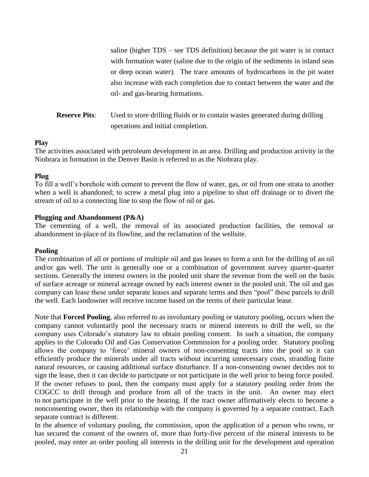saline (higher TDS – see TDS definition) because the pit water is in contact with formation water (saline due to the origin of the sediments in inland seas or deep ocean water). The trace amounts of hydrocarbons in the pit water also increase with each completion due to contact between the water and the oil- and gas-bearing formations.

**Reserve Pits:** Used to store drilling fluids or to contain wastes generated during drilling operations and initial completion.

### **Play**

The activities associated with petroleum development in an area. Drilling and production activity in the Niobrara in formation in the Denver Basin is referred to as the Niobrara play.

## **Plug**

To fill a well's borehole with cement to prevent the flow of water, gas, or oil from one strata to another when a well is abandoned; to screw a metal plug into a pipeline to shut off drainage or to divert the stream of oil to a connecting line to stop the flow of oil or gas.

### **Plugging and Abandonment (P&A)**

The cementing of a well, the removal of its associated production facilities, the removal or abandonment in-place of its flowline, and the reclamation of the wellsite.

### **Pooling**

The combination of all or portions of multiple oil and gas leases to form a unit for the drilling of an oil and/or gas well. The unit is generally one or a combination of government survey quarter-quarter sections. Generally the interest owners in the pooled unit share the revenue from the well on the basis of surface acreage or mineral acreage owned by each interest owner in the pooled unit. The oil and gas company can lease these under separate leases and separate terms and then "pool" these parcels to drill the well. Each landowner will receive income based on the terms of their particular lease.

Note that **Forced Pooling**, also referred to as involuntary pooling or statutory pooling, occurs when the company cannot voluntarily pool the necessary tracts or mineral interests to drill the well, so the company uses Colorado's statutory law to obtain pooling consent. In such a situation, the company applies to the Colorado Oil and Gas Conservation Commission for a pooling order. Statutory pooling allows the company to 'force' mineral owners of non-consenting tracts into the pool so it can efficiently produce the minerals under all tracts without incurring unnecessary costs, stranding finite natural resources, or causing additional surface disturbance. If a non-consenting owner decides not to sign the lease, then it can decide to participate or not participate in the well prior to being force pooled. If the owner refuses to pool, then the company must apply for a statutory pooling order from the COGCC to drill through and produce from all of the tracts in the unit. An owner may elect to not participate in the well prior to the hearing. If the tract owner affirmatively elects to become a nonconsenting owner, then its relationship with the company is governed by a separate contract. Each separate contract is different.

In the absence of voluntary pooling, the commission, upon the application of a person who owns, or has secured the consent of the owners of, more than forty-five percent of the mineral interests to be pooled, may enter an order pooling all interests in the drilling unit for the development and operation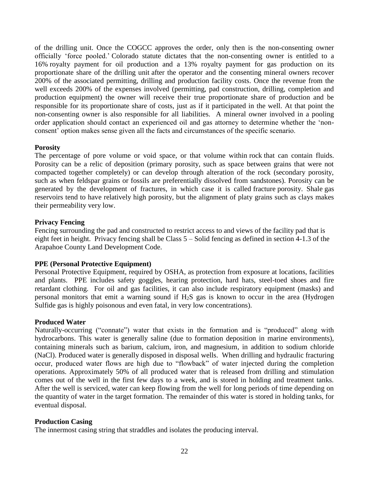of the drilling unit. Once the COGCC approves the order, only then is the non-consenting owner officially 'force pooled.' Colorado statute dictates that the non-consenting owner is entitled to a 16% royalty payment for oil production and a 13% royalty payment for gas production on its proportionate share of the drilling unit after the operator and the consenting mineral owners recover 200% of the associated permitting, drilling and production facility costs. Once the revenue from the well exceeds 200% of the expenses involved (permitting, pad construction, drilling, completion and production equipment) the owner will receive their true proportionate share of production and be responsible for its proportionate share of costs, just as if it participated in the well. At that point the non-consenting owner is also responsible for all liabilities. A mineral owner involved in a pooling order application should contact an experienced oil and gas attorney to determine whether the 'nonconsent' option makes sense given all the facts and circumstances of the specific scenario.

## **Porosity**

The percentage of pore volume or void space, or that volume within [rock](http://www.glossary.oilfield.slb.com/en/Terms/r/rock.aspx) that can contain fluids. Porosity can be a relic of deposition (primary porosity, such as space between grains that were not compacted together completely) or can develop through alteration of the rock (secondary porosity, such as when feldspar grains or fossils are preferentially dissolved from sandstones). Porosity can be generated by the development of fractures, in which case it is called [fracture](http://www.glossary.oilfield.slb.com/en/Terms/f/fracture.aspx) porosity. [Shale](http://www.glossary.oilfield.slb.com/en/Terms/s/shale.aspx) gas reservoirs tend to have relatively high porosity, but the alignment of platy grains such as clays makes their permeability very low.

## **Privacy Fencing**

Fencing surrounding the pad and constructed to restrict access to and views of the facility pad that is eight feet in height. Privacy fencing shall be Class 5 – Solid fencing as defined in section 4-1.3 of the Arapahoe County Land Development Code.

### **PPE (Personal Protective Equipment)**

Personal Protective Equipment, required by OSHA, as protection from exposure at locations, facilities and plants. PPE includes safety goggles, hearing protection, hard hats, steel-toed shoes and fire retardant clothing. For oil and gas facilities, it can also include respiratory equipment (masks) and personal monitors that emit a warning sound if H2S gas is known to occur in the area (Hydrogen Sulfide gas is highly poisonous and even fatal, in very low concentrations).

### **Produced Water**

Naturally-occurring ("connate") water that exists in the formation and is "produced" along with hydrocarbons. This water is generally saline (due to formation deposition in marine environments), containing minerals such as barium, calcium, iron, and magnesium, in addition to sodium chloride (NaCl). Produced water is generally disposed in disposal wells. When drilling and hydraulic fracturing occur, produced water flows are high due to "flowback" of water injected during the completion operations. Approximately 50% of all produced water that is released from drilling and stimulation comes out of the well in the first few days to a week, and is stored in holding and treatment tanks. After the well is serviced, water can keep flowing from the well for long periods of time depending on the quantity of water in the target formation. The remainder of this water is stored in holding tanks, for eventual disposal.

### **Production Casing**

The innermost casing string that straddles and isolates the producing interval.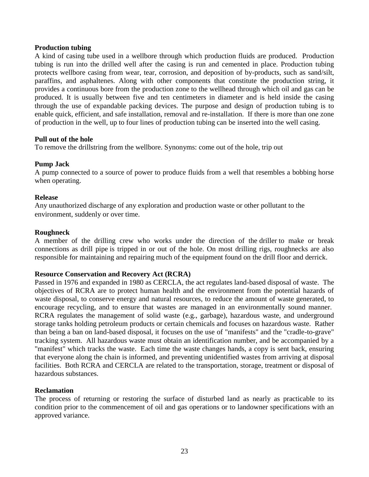#### **Production tubing**

A kind of casing tube used in a wellbore through which production fluids are produced. Production tubing is run into the drilled well after the casing is run and cemented in place. Production tubing protects wellbore casing from wear, tear, corrosion, and deposition of by-products, such as sand/silt, paraffins, and asphaltenes. Along with other components that constitute the production string, it provides a continuous bore from the production zone to the wellhead through which oil and gas can be produced. It is usually between five and ten centimeters in diameter and is held inside the casing through the use of expandable packing devices. The purpose and design of production tubing is to enable quick, efficient, and safe installation, removal and re-installation. If there is more than one zone of production in the well, up to four lines of production tubing can be inserted into the well casing.

#### **Pull out of the hole**

To remove the [drillstring](http://www.glossary.oilfield.slb.com/en/Terms/d/drillstring.aspx) from the wellbore. Synonyms: [come out of the hole,](http://www.glossary.oilfield.slb.com/en/Terms/c/come_out_of_the_hole.aspx) [trip out](http://www.glossary.oilfield.slb.com/en/Terms/t/trip_out.aspx)

### **Pump Jack**

A pump connected to a source of power to produce fluids from a well that resembles a bobbing horse when operating.

#### **Release**

Any unauthorized discharge of any exploration and production waste or other pollutant to the environment, suddenly or over time.

#### **Roughneck**

A member of the drilling crew who works under the direction of the [driller](http://www.glossary.oilfield.slb.com/en/Terms/d/driller.aspx) to make or break connections as drill [pipe](http://www.glossary.oilfield.slb.com/en/Terms/d/drillpipe.aspx) is tripped in or out of the hole. On most drilling rigs, roughnecks are also responsible for maintaining and repairing much of the equipment found on the drill floor and [derrick.](http://www.glossary.oilfield.slb.com/en/Terms/d/derrick.aspx)

#### **Resource Conservation and Recovery Act (RCRA)**

Passed in 1976 and expanded in 1980 as CERCLA, the act regulates land-based disposal of waste. The objectives of RCRA are to protect human health and the environment from the potential hazards of waste disposal, to conserve energy and natural resources, to reduce the amount of waste generated, to encourage recycling, and to ensure that wastes are managed in an environmentally sound manner. RCRA regulates the management of solid waste (e.g., garbage), hazardous waste, and underground storage tanks holding petroleum products or certain chemicals and focuses on hazardous waste. Rather than being a ban on land-based disposal, it focuses on the use of "manifests" and the "cradle-to-grave" tracking system. All hazardous waste must obtain an identification number, and be accompanied by a "manifest" which tracks the waste. Each time the waste changes hands, a copy is sent back, ensuring that everyone along the chain is informed, and preventing unidentified wastes from arriving at disposal facilities. Both RCRA and CERCLA are related to the transportation, storage, treatment or disposal of hazardous substances.

#### **Reclamation**

The process of returning or restoring the surface of disturbed land as nearly as practicable to its condition prior to the commencement of oil and gas operations or to landowner specifications with an approved variance.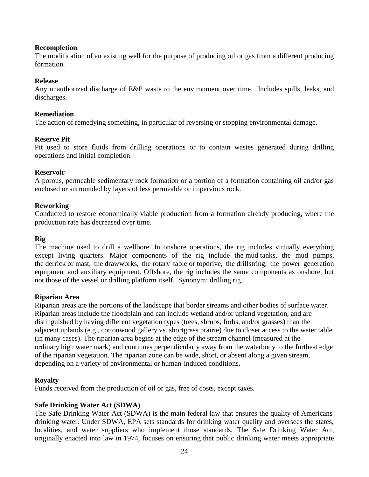### **Recompletion**

The modification of an existing well for the purpose of producing oil or gas from a different producing formation.

### **Release**

Any unauthorized discharge of E&P waste to the environment over time. Includes spills, leaks, and discharges.

### **Remediation**

The action of remedying something, in particular of reversing or stopping environmental damage.

### **Reserve Pit**

Pit used to store fluids from drilling operations or to contain wastes generated during drilling operations and initial completion.

### **Reservoir**

A porous, permeable sedimentary rock formation or a portion of a formation containing oil and/or gas enclosed or surrounded by layers of less permeable or impervious rock.

## **Reworking**

Conducted to restore economically viable production from a formation already producing, where the production rate has decreased over time.

### **Rig**

The machine used to drill a wellbore. In onshore operations, the rig includes virtually everything except living quarters. Major components of the rig include the [mud](http://www.glossary.oilfield.slb.com/en/Terms/m/mud.aspx) tanks, the mud pumps, the [derrick](http://www.glossary.oilfield.slb.com/en/Terms/d/derrick.aspx) or [mast,](http://www.glossary.oilfield.slb.com/en/Terms/m/mast.aspx) the [drawworks,](http://www.glossary.oilfield.slb.com/en/Terms/d/drawworks.aspx) the [rotary table](http://www.glossary.oilfield.slb.com/en/Terms/r/rotary_table.aspx) or [topdrive,](http://www.glossary.oilfield.slb.com/en/Terms/t/topdrive.aspx) the [drillstring,](http://www.glossary.oilfield.slb.com/en/Terms/d/drillstring.aspx) the power generation equipment and auxiliary equipment. Offshore, the rig includes the same components as onshore, but not those of the vessel or drilling platform itself. Synonym: [drilling rig.](http://www.glossary.oilfield.slb.com/en/Terms/d/drilling_rig.aspx)

### **Riparian Area**

Riparian areas are the portions of the landscape that border streams and other bodies of surface water. Riparian areas include the floodplain and can include wetland and/or upland vegetation, and are distinguished by having different vegetation types (trees, shrubs, forbs, and/or grasses) than the adjacent uplands (e.g., cottonwood gallery vs. shortgrass prairie) due to closer access to the water table (in many cases). The riparian area begins at the edge of the stream channel (measured at the ordinary high water mark) and continues perpendicularly away from the waterbody to the furthest edge of the riparian vegetation. The riparian zone can be wide, short, or absent along a given stream, depending on a variety of environmental or human-induced conditions.

### **Royalty**

Funds received from the production of oil or gas, free of costs, except taxes.

# **Safe Drinking Water Act (SDWA)**

The Safe Drinking Water Act (SDWA) is the main federal law that ensures the quality of Americans' drinking water. Under SDWA, EPA sets standards for drinking water quality and oversees the states, localities, and water suppliers who implement those standards. The Safe Drinking Water Act, originally enacted into law in 1974, focuses on ensuring that public drinking water meets appropriate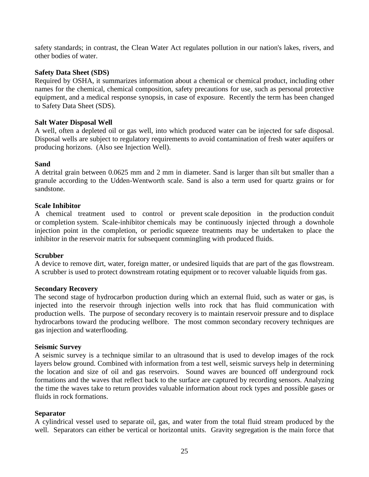safety standards; in contrast, the Clean Water Act regulates pollution in our nation's lakes, rivers, and other bodies of water.

## **Safety Data Sheet (SDS)**

Required by OSHA, it summarizes information about a chemical or chemical product, including other names for the chemical, chemical composition, safety precautions for use, such as personal protective equipment, and a medical response synopsis, in case of exposure. Recently the term has been changed to Safety Data Sheet (SDS).

### **Salt Water Disposal Well**

A well, often a depleted oil or gas well, into which produced water can be injected for safe disposal. Disposal wells are subject to regulatory requirements to avoid contamination of fresh water aquifers or producing horizons. (Also see Injection Well).

## **Sand**

A detrital grain between 0.0625 mm and 2 mm in diameter. Sand is larger than [silt](http://www.glossary.oilfield.slb.com/en/Terms/s/silt.aspx) but smaller than a granule according to the Udden[-Wentworth scale.](http://www.glossary.oilfield.slb.com/en/Terms/w/wentworth_scale.aspx) Sand is also a term used for quartz grains or for sandstone.

### **Scale Inhibitor**

A chemical treatment used to control or prevent [scale](http://www.glossary.oilfield.slb.com/en/Terms/s/scale.aspx) deposition in the [production](http://www.glossary.oilfield.slb.com/en/Terms/p/production.aspx) conduit or [completion](http://www.glossary.oilfield.slb.com/en/Terms/c/completion.aspx) system. Scale[-inhibitor](http://www.glossary.oilfield.slb.com/en/Terms/i/inhibitor.aspx) chemicals may be continuously injected through a downhole injection point in the completion, or periodic [squeeze](http://www.glossary.oilfield.slb.com/en/Terms/s/squeeze.aspx) treatments may be undertaken to place the inhibitor in the [reservoir](http://www.glossary.oilfield.slb.com/en/Terms/r/reservoir.aspx) [matrix](http://www.glossary.oilfield.slb.com/en/Terms/m/matrix.aspx) for subsequent commingling with produced fluids.

### **Scrubber**

A device to remove dirt, water, foreign matter, or undesired liquids that are part of the gas [flowstream.](http://www.glossary.oilfield.slb.com/en/Terms/f/flowstream.aspx) A scrubber is used to protect [downstream](http://www.glossary.oilfield.slb.com/en/Terms/d/downstream.aspx) rotating equipment or to recover valuable liquids from gas.

### **Secondary Recovery**

The second stage of hydrocarbon production during which an external fluid, such as water or gas, is injected into the reservoir through injection wells into rock that has fluid communication with production wells. The purpose of secondary recovery is to maintain reservoir pressure and to displace hydrocarbons toward the producing wellbore. The most common secondary recovery techniques are gas injection and waterflooding.

### **Seismic Survey**

A seismic survey is a technique similar to an ultrasound that is used to develop images of the rock layers below ground. Combined with information from a test well, seismic surveys help in determining the location and size of oil and gas reservoirs. Sound waves are bounced off underground rock formations and the waves that reflect back to the surface are captured by recording sensors. Analyzing the time the waves take to return provides valuable information about rock types and possible gases or fluids in rock formations.

### **Separator**

A cylindrical vessel used to separate oil, gas, and water from the total fluid stream produced by the well. Separators can either be vertical or horizontal units. Gravity segregation is the main force that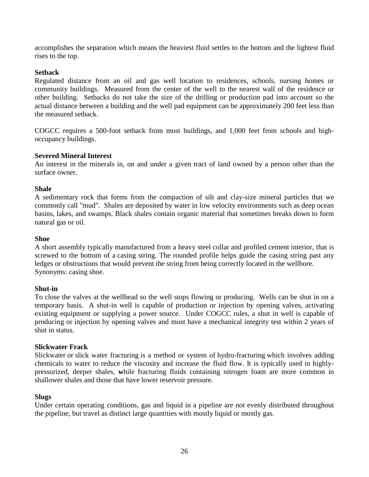accomplishes the separation which means the heaviest fluid settles to the bottom and the lightest fluid rises to the top.

## **Setback**

Regulated distance from an oil and gas well location to residences, schools, nursing homes or community buildings. Measured from the center of the well to the nearest wall of the residence or other building. Setbacks do not take the size of the drilling or production pad into account so the actual distance between a building and the well pad equipment can be approximately 200 feet less than the measured setback.

COGCC requires a 500-foot setback from most buildings, and 1,000 feet from schools and highoccupancy buildings.

### **Severed Mineral Interest**

An interest in the minerals in, on and under a given tract of land owned by a person other than the surface owner.

## **Shale**

A sedimentary rock that forms from the compaction of silt and clay-size mineral particles that we commonly call "mud". Shales are deposited by water in low velocity environments such as deep ocean basins, lakes, and swamps. Black shales contain organic material that sometimes breaks down to form natural gas or oil.

### **Shoe**

A short assembly typically manufactured from a heavy steel [collar](http://www.glossary.oilfield.slb.com/en/Terms/c/collar.aspx) and profiled [cement](http://www.glossary.oilfield.slb.com/en/Terms/c/cement.aspx) interior, that is screwed to the bottom of a [casing string.](http://www.glossary.oilfield.slb.com/en/Terms/c/casing_string.aspx) The rounded profile helps guide the casing string past any ledges or obstructions that would prevent the string from being correctly located in the wellbore. Synonyms: [casing shoe.](http://www.glossary.oilfield.slb.com/en/Terms/c/casing_shoe.aspx)

### **Shut-in**

To close the valves at the wellhead so the well stops flowing or producing. Wells can be shut in on a temporary basis. A shut-in well is capable of production or injection by opening valves, activating existing equipment or supplying a power source. Under COGCC rules, a shut in well is capable of producing or injection by opening valves and must have a mechanical integrity test within 2 years of shut in status.

### **Slickwater Frack**

Slickwater or slick water fracturing is a method or system of [hydro-fracturing](http://waytogoto.com/wiki/index.php/Hydro-fracturing) which involves adding chemicals to water to reduce the viscosity and increase the fluid flow. It is typically used in highlypressurized, deeper shales, **w**hile fracturing fluids containing nitrogen foam are more common in shallower shales and those that have lower reservoir pressure.

### **Slugs**

Under certain operating conditions, gas and liquid in a pipeline are not evenly distributed throughout the pipeline, but travel as distinct large quantities with mostly liquid or mostly gas.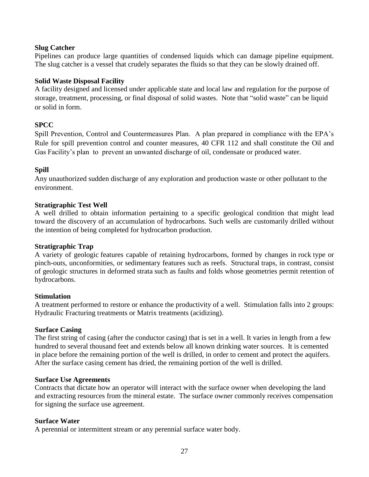## **Slug Catcher**

Pipelines can produce large quantities of condensed liquids which can damage pipeline equipment. The slug catcher is a vessel that crudely separates the fluids so that they can be slowly drained off.

## **Solid Waste Disposal Facility**

A facility designed and licensed under applicable state and local law and regulation for the purpose of storage, treatment, processing, or final disposal of solid wastes. Note that "solid waste" can be liquid or solid in form.

## **SPCC**

Spill Prevention, Control and Countermeasures Plan. A plan prepared in compliance with the EPA's Rule for spill prevention control and counter measures, 40 CFR 112 and shall constitute the Oil and Gas Facility's plan to prevent an unwanted discharge of oil, condensate or produced water.

## **Spill**

Any unauthorized sudden discharge of any exploration and production waste or other pollutant to the environment.

## **Stratigraphic Test Well**

A well drilled to obtain information pertaining to a specific geological condition that might lead toward the discovery of an accumulation of hydrocarbons. Such wells are customarily drilled without the intention of being completed for hydrocarbon production.

### **Stratigraphic Trap**

A variety of [geologic](http://www.glossary.oilfield.slb.com/en/Terms/g/geologic.aspx) features capable of retaining hydrocarbons, formed by changes in [rock](http://www.glossary.oilfield.slb.com/en/Terms/r/rock.aspx) type or pinch-outs, unconformities, or sedimentary features such as reefs. [Structural](http://www.glossary.oilfield.slb.com/en/Terms/s/structural.aspx) traps, in contrast, consist of geologic structures in deformed [strata](http://www.glossary.oilfield.slb.com/en/Terms/s/strata.aspx) such as faults and folds whose geometries permit retention of hydrocarbons.

### **Stimulation**

A treatment performed to restore or enhance the productivity of a well. Stimulation falls into 2 groups: Hydraulic Fracturing treatments or Matrix treatments (acidizing).

### **Surface Casing**

The first string of casing (after the conductor casing) that is set in a well. It varies in length from a few hundred to several thousand feet and extends below all known drinking water sources. It is cemented in place before the remaining portion of the well is drilled, in order to cement and protect the aquifers. After the surface casing cement has dried, the remaining portion of the well is drilled.

### **Surface Use Agreements**

Contracts that dictate how an operator will interact with the surface owner when developing the land and extracting resources from the mineral estate. The surface owner commonly receives compensation for signing the surface use agreement.

### **Surface Water**

A perennial or intermittent stream or any perennial surface water body.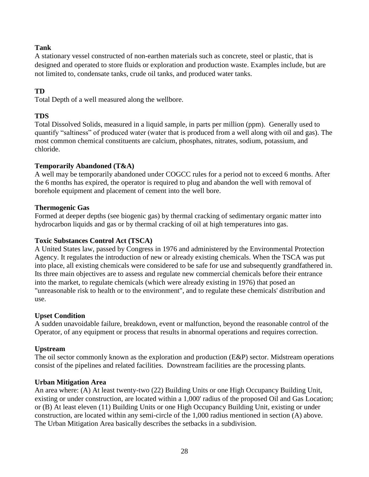# **Tank**

A stationary vessel constructed of non-earthen materials such as concrete, steel or plastic, that is designed and operated to store fluids or exploration and production waste. Examples include, but are not limited to, condensate tanks, crude oil tanks, and produced water tanks.

# **TD**

Total Depth of a well measured along the wellbore.

# **TDS**

Total Dissolved Solids, measured in a liquid sample, in parts per million (ppm). Generally used to quantify "saltiness" of produced water (water that is produced from a well along with oil and gas). The most common chemical constituents are calcium, phosphates, nitrates, sodium, potassium, and chloride.

# **Temporarily Abandoned (T&A)**

A well may be temporarily abandoned under COGCC rules for a period not to exceed 6 months. After the 6 months has expired, the operator is required to plug and abandon the well with removal of borehole equipment and placement of cement into the well bore.

# **Thermogenic Gas**

Formed at deeper depths (see biogenic gas) by thermal cracking of sedimentary organic matter into hydrocarbon liquids and gas or by thermal cracking of oil at high temperatures into gas.

# **Toxic Substances Control Act (TSCA)**

A [United States](https://en.wikipedia.org/wiki/United_States) law, passed by Congress in 1976 and administered by the [Environmental Protection](https://en.wikipedia.org/wiki/Environmental_Protection_Agency)  [Agency.](https://en.wikipedia.org/wiki/Environmental_Protection_Agency) It regulates the introduction of new or already existing [chemicals.](https://en.wikipedia.org/wiki/Chemical) When the TSCA was put into place, all existing chemicals were considered to be safe for use and subsequently [grandfathered](https://en.wikipedia.org/wiki/Grandfather_Clause) in. Its three main objectives are to assess and regulate new commercial chemicals before their entrance into the market, to regulate chemicals (which were already existing in 1976) that posed an "unreasonable risk to health or to the environment", and to regulate these chemicals' distribution and use.

# **Upset Condition**

A sudden unavoidable failure, breakdown, event or malfunction, beyond the reasonable control of the Operator, of any equipment or process that results in abnormal operations and requires correction.

# **Upstream**

The oil sector commonly known as the exploration and production (E&P) sector. Midstream operations consist of the pipelines and related facilities. Downstream facilities are the processing plants.

# **Urban Mitigation Area**

An area where: (A) At least twenty-two (22) Building Units or one High Occupancy Building Unit, existing or under construction, are located within a 1,000' radius of the proposed Oil and Gas Location; or (B) At least eleven (11) Building Units or one High Occupancy Building Unit, existing or under construction, are located within any semi-circle of the 1,000 radius mentioned in section (A) above. The Urban Mitigation Area basically describes the setbacks in a subdivision.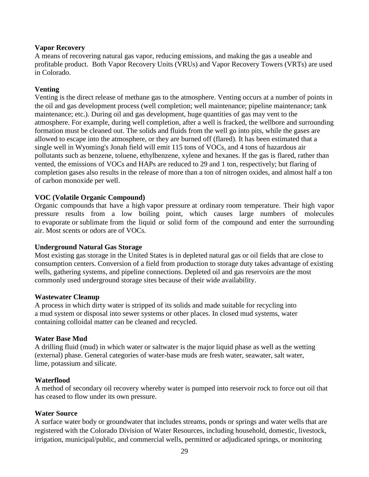## **Vapor Recovery**

A means of recovering natural gas vapor, reducing emissions, and making the gas a useable and profitable product. Both Vapor Recovery Units (VRUs) and Vapor Recovery Towers (VRTs) are used in Colorado.

# **Venting**

Venting is the direct release of methane gas to the atmosphere. Venting occurs at a number of points in the oil and gas development process (well completion; well maintenance; pipeline maintenance; tank maintenance; etc.). During oil and gas development, huge quantities of gas may vent to the atmosphere. For example, during well completion, after a well is fracked, the wellbore and surrounding formation must be cleaned out. The solids and fluids from the well go into pits, while the gases are allowed to escape into the atmosphere, or they are burned off (flared). It has been estimated that a single well in Wyoming's Jonah field will emit 115 tons of VOCs, and 4 tons of hazardous air pollutants such as benzene, toluene, ethylbenzene, xylene and hexanes. If the gas is flared, rather than vented, the emissions of VOCs and HAPs are reduced to 29 and 1 ton, respectively; but flaring of completion gases also results in the release of more than a ton of nitrogen oxides, and almost half a ton of carbon monoxide per well.

## **VOC (Volatile Organic Compound)**

Organic compounds that have a high [vapor pressure](https://en.wikipedia.org/wiki/Vapour_pressure) at ordinary [room temperature.](https://en.wikipedia.org/wiki/Room_temperature) Their high vapor pressure results from a low boiling point, which causes large numbers of molecules to [evaporate](https://en.wikipedia.org/wiki/Evaporation) or [sublimate](https://en.wikipedia.org/wiki/Sublimation_(phase_transition)) from the liquid or solid form of the compound and enter the surrounding air. Most [scents or odors](https://en.wikipedia.org/wiki/Odour) are of VOCs.

### **Underground Natural Gas Storage**

Most existing gas storage in the United States is in depleted natural gas or oil fields that are close to consumption centers. Conversion of a field from production to storage duty takes advantage of existing wells, gathering systems, and pipeline connections. Depleted oil and gas reservoirs are the most commonly used underground storage sites because of their wide availability.

### **Wastewater Cleanup**

A process in which dirty water is stripped of its solids and made suitable for recycling into a [mud](http://www.glossary.oilfield.slb.com/en/Terms/m/mud.aspx) system or disposal into sewer systems or other places. In closed mud systems, water containing [colloidal](http://www.glossary.oilfield.slb.com/en/Terms/c/colloidal.aspx) matter can be cleaned and recycled.

### **Water Base Mud**

A [drilling fluid](http://www.glossary.oilfield.slb.com/en/Terms/d/drilling_fluid.aspx) [\(mud\)](http://www.glossary.oilfield.slb.com/en/Terms/m/mud.aspx) in which water or saltwater is the major liquid phase as well as the wetting (external) phase. General categories of water-base muds are [fresh water,](http://www.glossary.oilfield.slb.com/en/Terms/f/fresh_water.aspx) seawater, salt water, lime, [potassium](http://www.glossary.oilfield.slb.com/en/Terms/p/potassium.aspx) and [silicate.](http://www.glossary.oilfield.slb.com/en/Terms/s/silicate.aspx)

### **Waterflood**

A method of secondary oil recovery whereby water is pumped into reservoir rock to force out oil that has ceased to flow under its own pressure.

### **Water Source**

A surface water body or groundwater that includes streams, ponds or springs and water wells that are registered with the Colorado Division of Water Resources, including household, domestic, livestock, irrigation, municipal/public, and commercial wells, permitted or adjudicated springs, or monitoring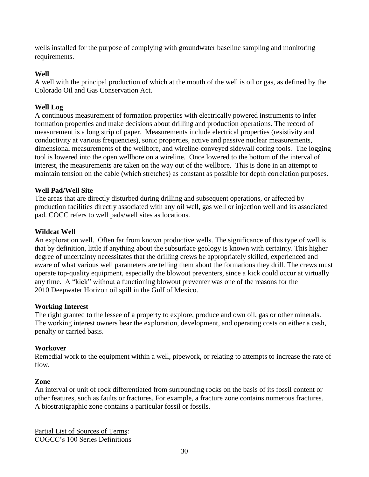wells installed for the purpose of complying with groundwater baseline sampling and monitoring requirements.

# **Well**

A well with the principal production of which at the mouth of the well is oil or gas, as defined by the Colorado Oil and Gas Conservation Act.

# **Well Log**

A continuous measurement of formation properties with electrically powered instruments to infer formation properties and make decisions about drilling and production operations. The record of measurement is a long strip of paper. Measurements include electrical properties (resistivity and conductivity at various frequencies), sonic properties, active and passive nuclear measurements, dimensional measurements of the wellbore, and wireline-conveyed sidewall coring tools. The logging tool is lowered into the open wellbore on a wireline. Once lowered to the bottom of the interval of interest, the measurements are taken on the way out of the wellbore. This is done in an attempt to maintain tension on the cable (which stretches) as constant as possible for depth correlation purposes.

# **Well Pad/Well Site**

The areas that are directly disturbed during drilling and subsequent operations, or affected by production facilities directly associated with any oil well, gas well or injection well and its associated pad. COCC refers to well pads/well sites as locations.

# **Wildcat Well**

An exploration well. Often far from known productive wells. The significance of this type of well is that by definition, little if anything about the subsurface geology is known with certainty. This higher degree of uncertainty necessitates that the drilling crews be appropriately skilled, experienced and aware of what various well parameters are telling them about the formations they drill. The crews must operate top-quality equipment, especially the blowout preventers, since a kick could occur at virtually any time. A "kick" without a functioning blowout preventer was one of the reasons for the 2010 [Deepwater Horizon oil spill](http://en.wikipedia.org/wiki/Deepwater_Horizon_oil_spill) in the Gulf of Mexico.

# **Working Interest**

The right granted to the lessee of a property to explore, produce and own oil, gas or other minerals. The working interest owners bear the exploration, development, and operating costs on either a cash, penalty or carried basis.

# **Workover**

Remedial work to the equipment within a well, pipework, or relating to attempts to increase the rate of flow.

# **Zone**

An interval or unit of [rock](http://www.glossary.oilfield.slb.com/en/Terms/r/rock.aspx) differentiated from surrounding rocks on the basis of its [fossil](http://www.glossary.oilfield.slb.com/en/Terms/f/fossil.aspx) content or other features, such as faults or fractures. For example, a [fracture](http://www.glossary.oilfield.slb.com/en/Terms/f/fracture.aspx) zone contains numerous fractures. A [biostratigraphic](http://www.glossary.oilfield.slb.com/en/Terms/b/biostratigraphic.aspx) zone contains a particular fossil or fossils.

Partial List of Sources of Terms: COGCC's 100 Series Definitions